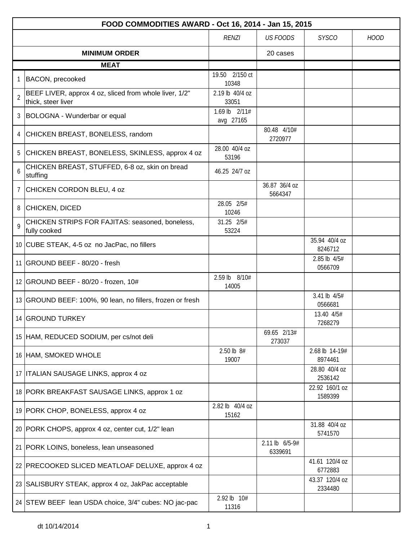|                | FOOD COMMODITIES AWARD - Oct 16, 2014 - Jan 15, 2015                         |                            |                           |                           |             |  |  |
|----------------|------------------------------------------------------------------------------|----------------------------|---------------------------|---------------------------|-------------|--|--|
|                |                                                                              | <b>RENZI</b>               | <b>US FOODS</b>           | <b>SYSCO</b>              | <b>HOOD</b> |  |  |
|                | <b>MINIMUM ORDER</b>                                                         |                            | 20 cases                  |                           |             |  |  |
|                | <b>MEAT</b>                                                                  |                            |                           |                           |             |  |  |
|                | BACON, precooked                                                             | 19.50 2/150 ct<br>10348    |                           |                           |             |  |  |
| $\overline{2}$ | BEEF LIVER, approx 4 oz, sliced from whole liver, 1/2"<br>thick, steer liver | 2.19 lb 40/4 oz<br>33051   |                           |                           |             |  |  |
|                | 3 BOLOGNA - Wunderbar or equal                                               | 1.69 lb 2/11#<br>avg 27165 |                           |                           |             |  |  |
| 4              | CHICKEN BREAST, BONELESS, random                                             |                            | 80.48 4/10#<br>2720977    |                           |             |  |  |
| 5              | CHICKEN BREAST, BONELESS, SKINLESS, approx 4 oz                              | 28.00 40/4 oz<br>53196     |                           |                           |             |  |  |
| 6              | CHICKEN BREAST, STUFFED, 6-8 oz, skin on bread<br>stuffing                   | 46.25 24/7 oz              |                           |                           |             |  |  |
| $\overline{7}$ | CHICKEN CORDON BLEU, 4 oz                                                    |                            | 36.87 36/4 oz<br>5664347  |                           |             |  |  |
|                | 8 CHICKEN, DICED                                                             | 28.05 2/5#<br>10246        |                           |                           |             |  |  |
| 9              | CHICKEN STRIPS FOR FAJITAS: seasoned, boneless,<br>fully cooked              | 31.25 2/5#<br>53224        |                           |                           |             |  |  |
|                | 10 CUBE STEAK, 4-5 oz no JacPac, no fillers                                  |                            |                           | 35.94 40/4 oz<br>8246712  |             |  |  |
|                | 11 GROUND BEEF - 80/20 - fresh                                               |                            |                           | 2.85 lb 4/5#<br>0566709   |             |  |  |
|                | 12 GROUND BEEF - 80/20 - frozen, 10#                                         | 2.59 lb 8/10#<br>14005     |                           |                           |             |  |  |
|                | 13 GROUND BEEF: 100%, 90 lean, no fillers, frozen or fresh                   |                            |                           | 3.41 lb 4/5#<br>0566681   |             |  |  |
|                | 14 GROUND TURKEY                                                             |                            |                           | 13.40 4/5#<br>7268279     |             |  |  |
|                | 15 HAM, REDUCED SODIUM, per cs/not deli                                      |                            | 69.65 2/13#<br>273037     |                           |             |  |  |
|                | 16 HAM, SMOKED WHOLE                                                         | 2.50 lb 8#<br>19007        |                           | 2.68 lb 14-19#<br>8974461 |             |  |  |
|                | 17   ITALIAN SAUSAGE LINKS, approx 4 oz                                      |                            |                           | 28.80 40/4 oz<br>2536142  |             |  |  |
|                | 18 PORK BREAKFAST SAUSAGE LINKS, approx 1 oz                                 |                            |                           | 22.92 160/1 oz<br>1589399 |             |  |  |
|                | 19 PORK CHOP, BONELESS, approx 4 oz                                          | 2.82 lb 40/4 oz<br>15162   |                           |                           |             |  |  |
|                | 20 PORK CHOPS, approx 4 oz, center cut, 1/2" lean                            |                            |                           | 31.88 40/4 oz<br>5741570  |             |  |  |
|                | 21   PORK LOINS, boneless, lean unseasoned                                   |                            | 2.11 lb 6/5-9#<br>6339691 |                           |             |  |  |
|                | 22 PRECOOKED SLICED MEATLOAF DELUXE, approx 4 oz                             |                            |                           | 41.61 120/4 oz<br>6772883 |             |  |  |
|                | 23 SALISBURY STEAK, approx 4 oz, JakPac acceptable                           |                            |                           | 43.37 120/4 oz<br>2334480 |             |  |  |
|                | 24 STEW BEEF lean USDA choice, 3/4" cubes: NO jac-pac                        | 2.92 lb 10#<br>11316       |                           |                           |             |  |  |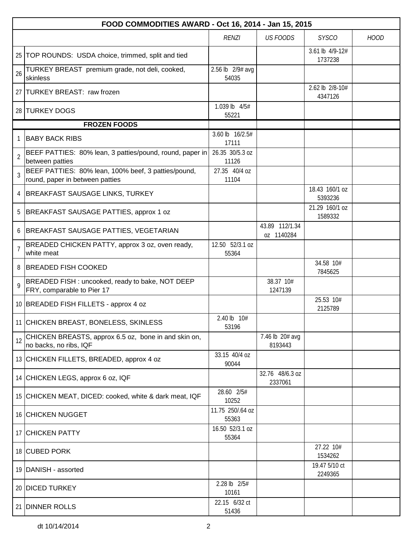|                | FOOD COMMODITIES AWARD - Oct 16, 2014 - Jan 15, 2015                                   |                           |                              |                            |             |  |  |
|----------------|----------------------------------------------------------------------------------------|---------------------------|------------------------------|----------------------------|-------------|--|--|
|                |                                                                                        | <b>RENZI</b>              | <b>US FOODS</b>              | <b>SYSCO</b>               | <b>HOOD</b> |  |  |
|                | 25   TOP ROUNDS: USDA choice, trimmed, split and tied                                  |                           |                              | 3.61 lb 4/9-12#<br>1737238 |             |  |  |
| 26             | TURKEY BREAST premium grade, not deli, cooked,<br>skinless                             | 2.56 lb 2/9# avg<br>54035 |                              |                            |             |  |  |
|                | 27 TURKEY BREAST: raw frozen                                                           |                           |                              | 2.62 lb 2/8-10#<br>4347126 |             |  |  |
|                | 28 TURKEY DOGS                                                                         | 1.039 lb 4/5#<br>55221    |                              |                            |             |  |  |
|                | <b>FROZEN FOODS</b>                                                                    |                           |                              |                            |             |  |  |
|                | <b>BABY BACK RIBS</b>                                                                  | 3.60 lb 16/2.5#<br>17111  |                              |                            |             |  |  |
| $\overline{2}$ | BEEF PATTIES: 80% lean, 3 patties/pound, round, paper in<br>between patties            | 26.35 30/5.3 oz<br>11126  |                              |                            |             |  |  |
| 3              | BEEF PATTIES: 80% lean, 100% beef, 3 patties/pound,<br>round, paper in between patties | 27.35 40/4 oz<br>11104    |                              |                            |             |  |  |
| 4              | <b>BREAKFAST SAUSAGE LINKS, TURKEY</b>                                                 |                           |                              | 18.43 160/1 oz<br>5393236  |             |  |  |
| 5              | BREAKFAST SAUSAGE PATTIES, approx 1 oz                                                 |                           |                              | 21.29 160/1 oz<br>1589332  |             |  |  |
|                | BREAKFAST SAUSAGE PATTIES, VEGETARIAN                                                  |                           | 43.89 112/1.34<br>oz 1140284 |                            |             |  |  |
| $\overline{7}$ | BREADED CHICKEN PATTY, approx 3 oz, oven ready,<br>white meat                          | 12.50 52/3.1 oz<br>55364  |                              |                            |             |  |  |
| 8              | <b>BREADED FISH COOKED</b>                                                             |                           |                              | 34.58 10#<br>7845625       |             |  |  |
| $\mathsf{Q}$   | BREADED FISH : uncooked, ready to bake, NOT DEEP<br>FRY, comparable to Pier 17         |                           | 38.37 10#<br>1247139         |                            |             |  |  |
|                | 10 BREADED FISH FILLETS - approx 4 oz                                                  |                           |                              | 25.53 10#<br>2125789       |             |  |  |
|                | 11 CHICKEN BREAST, BONELESS, SKINLESS                                                  | 2.40 lb 10#<br>53196      |                              |                            |             |  |  |
| 12             | CHICKEN BREASTS, approx 6.5 oz, bone in and skin on,<br>no backs, no ribs, IQF         |                           | 7.46 lb 20# avg<br>8193443   |                            |             |  |  |
|                | 13 CHICKEN FILLETS, BREADED, approx 4 oz                                               | 33.15 40/4 oz<br>90044    |                              |                            |             |  |  |
|                | 14 CHICKEN LEGS, approx 6 oz, IQF                                                      |                           | 32.76 48/6.3 oz<br>2337061   |                            |             |  |  |
|                | 15 CHICKEN MEAT, DICED: cooked, white & dark meat, IQF                                 | 28.60 2/5#<br>10252       |                              |                            |             |  |  |
|                | 16 CHICKEN NUGGET                                                                      | 11.75 250/.64 oz<br>55363 |                              |                            |             |  |  |
|                | 17 CHICKEN PATTY                                                                       | 16.50 52/3.1 oz<br>55364  |                              |                            |             |  |  |
|                | 18 CUBED PORK                                                                          |                           |                              | 27.22 10#<br>1534262       |             |  |  |
|                | 19 DANISH - assorted                                                                   |                           |                              | 19.47 5/10 ct<br>2249365   |             |  |  |
|                | 20 DICED TURKEY                                                                        | 2.28 lb 2/5#<br>10161     |                              |                            |             |  |  |
|                | 21 DINNER ROLLS                                                                        | 22.15 6/32 ct<br>51436    |                              |                            |             |  |  |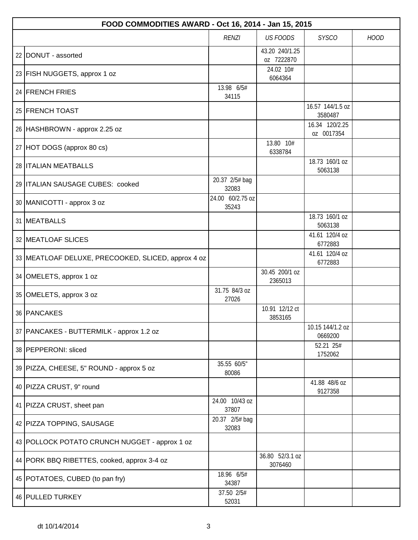| FOOD COMMODITIES AWARD - Oct 16, 2014 - Jan 15, 2015 |                           |                              |                              |             |  |  |
|------------------------------------------------------|---------------------------|------------------------------|------------------------------|-------------|--|--|
|                                                      | <b>RENZI</b>              | <b>US FOODS</b>              | <b>SYSCO</b>                 | <b>HOOD</b> |  |  |
| 22 DONUT - assorted                                  |                           | 43.20 240/1.25<br>oz 7222870 |                              |             |  |  |
| 23 FISH NUGGETS, approx 1 oz                         |                           | 24.02 10#<br>6064364         |                              |             |  |  |
| 24 FRENCH FRIES                                      | 13.98 6/5#<br>34115       |                              |                              |             |  |  |
| 25 FRENCH TOAST                                      |                           |                              | 16.57 144/1.5 oz<br>3580487  |             |  |  |
| 26 HASHBROWN - approx 2.25 oz                        |                           |                              | 16.34 120/2.25<br>oz 0017354 |             |  |  |
| 27 HOT DOGS (approx 80 cs)                           |                           | 13.80 10#<br>6338784         |                              |             |  |  |
| 28 <b>ITALIAN MEATBALLS</b>                          |                           |                              | 18.73 160/1 oz<br>5063138    |             |  |  |
| 29   ITALIAN SAUSAGE CUBES: cooked                   | 20.37 2/5# bag<br>32083   |                              |                              |             |  |  |
| 30   MANICOTTI - approx 3 oz                         | 24.00 60/2.75 oz<br>35243 |                              |                              |             |  |  |
| 31   MEATBALLS                                       |                           |                              | 18.73 160/1 oz<br>5063138    |             |  |  |
| 32 MEATLOAF SLICES                                   |                           |                              | 41.61 120/4 oz<br>6772883    |             |  |  |
| 33 MEATLOAF DELUXE, PRECOOKED, SLICED, approx 4 oz   |                           |                              | 41.61 120/4 oz<br>6772883    |             |  |  |
| 34 OMELETS, approx 1 oz                              |                           | 30.45 200/1 oz<br>2365013    |                              |             |  |  |
| 35 OMELETS, approx 3 oz                              | 31.75 84/3 oz<br>27026    |                              |                              |             |  |  |
| 36 PANCAKES                                          |                           | 10.91 12/12 ct<br>3853165    |                              |             |  |  |
| 37   PANCAKES - BUTTERMILK - approx 1.2 oz           |                           |                              | 10.15 144/1.2 oz<br>0669200  |             |  |  |
| 38   PEPPERONI: sliced                               |                           |                              | 52.21 25#<br>1752062         |             |  |  |
| 39   PIZZA, CHEESE, 5" ROUND - approx 5 oz           | 35.55 60/5"<br>80086      |                              |                              |             |  |  |
| 40 PIZZA CRUST, 9" round                             |                           |                              | 41.88 48/6 oz<br>9127358     |             |  |  |
| 41 PIZZA CRUST, sheet pan                            | 24.00 10/43 oz<br>37807   |                              |                              |             |  |  |
| 42   PIZZA TOPPING, SAUSAGE                          | 20.37 2/5# bag<br>32083   |                              |                              |             |  |  |
| 43 POLLOCK POTATO CRUNCH NUGGET - approx 1 oz        |                           |                              |                              |             |  |  |
| 44   PORK BBQ RIBETTES, cooked, approx 3-4 oz        |                           | 36.80 52/3.1 oz<br>3076460   |                              |             |  |  |
| 45   POTATOES, CUBED (to pan fry)                    | 18.96 6/5#<br>34387       |                              |                              |             |  |  |
| 46 PULLED TURKEY                                     | 37.50 2/5#<br>52031       |                              |                              |             |  |  |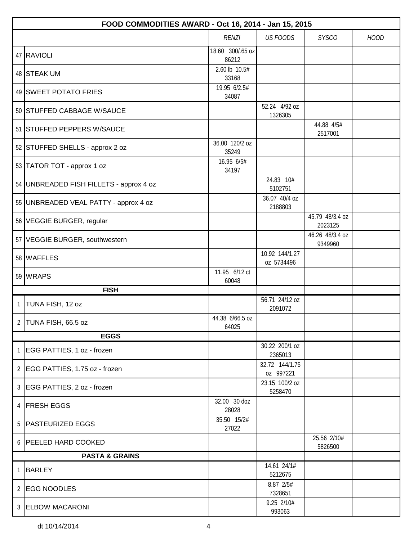|   | FOOD COMMODITIES AWARD - Oct 16, 2014 - Jan 15, 2015 |                           |                              |                            |             |  |
|---|------------------------------------------------------|---------------------------|------------------------------|----------------------------|-------------|--|
|   |                                                      | <b>RENZI</b>              | <b>US FOODS</b>              | <b>SYSCO</b>               | <b>HOOD</b> |  |
|   | 47 RAVIOLI                                           | 18.60 300/.65 oz<br>86212 |                              |                            |             |  |
|   | 48 STEAK UM                                          | 2.60 lb 10.5#<br>33168    |                              |                            |             |  |
|   | 49 SWEET POTATO FRIES                                | 19.95 6/2.5#<br>34087     |                              |                            |             |  |
|   | 50 STUFFED CABBAGE W/SAUCE                           |                           | 52.24 4/92 oz<br>1326305     |                            |             |  |
|   | 51 STUFFED PEPPERS W/SAUCE                           |                           |                              | 44.88 4/5#<br>2517001      |             |  |
|   | 52 STUFFED SHELLS - approx 2 oz                      | 36.00 120/2 oz<br>35249   |                              |                            |             |  |
|   | 53 TATOR TOT - approx 1 oz                           | 16.95 6/5#<br>34197       |                              |                            |             |  |
|   | 54 UNBREADED FISH FILLETS - approx 4 oz              |                           | 24.83 10#<br>5102751         |                            |             |  |
|   | 55 UNBREADED VEAL PATTY - approx 4 oz                |                           | 36.07 40/4 oz<br>2188803     |                            |             |  |
|   | 56 VEGGIE BURGER, regular                            |                           |                              | 45.79 48/3.4 oz<br>2023125 |             |  |
|   | 57 VEGGIE BURGER, southwestern                       |                           |                              | 46.26 48/3.4 oz<br>9349960 |             |  |
|   | 58 WAFFLES                                           |                           | 10.92 144/1.27<br>oz 5734496 |                            |             |  |
|   | 59 WRAPS                                             | 11.95 6/12 ct<br>60048    |                              |                            |             |  |
|   | <b>FISH</b>                                          |                           |                              |                            |             |  |
| 1 | TUNA FISH, 12 oz                                     |                           | 56.71 24/12 oz<br>2091072    |                            |             |  |
|   | 2 TUNA FISH, 66.5 oz                                 | 44.38 6/66.5 oz<br>64025  |                              |                            |             |  |
|   | <b>EGGS</b>                                          |                           |                              |                            |             |  |
| 1 | EGG PATTIES, 1 oz - frozen                           |                           | 30.22 200/1 oz<br>2365013    |                            |             |  |
|   | 2   EGG PATTIES, 1.75 oz - frozen                    |                           | 32.72 144/1.75<br>oz 997221  |                            |             |  |
| 3 | EGG PATTIES, 2 oz - frozen                           |                           | 23.15 100/2 oz<br>5258470    |                            |             |  |
| 4 | <b>FRESH EGGS</b>                                    | 32.00 30 doz<br>28028     |                              |                            |             |  |
|   | 5   PASTEURIZED EGGS                                 | 35.50 15/2#<br>27022      |                              |                            |             |  |
|   | 6 PEELED HARD COOKED                                 |                           |                              | 25.56 2/10#<br>5826500     |             |  |
|   | <b>PASTA &amp; GRAINS</b>                            |                           |                              |                            |             |  |
| 1 | <b>BARLEY</b>                                        |                           | 14.61 24/1#<br>5212675       |                            |             |  |
| 2 | <b>EGG NOODLES</b>                                   |                           | 8.87 2/5#<br>7328651         |                            |             |  |
|   | 3 ELBOW MACARONI                                     |                           | 9.25 2/10#<br>993063         |                            |             |  |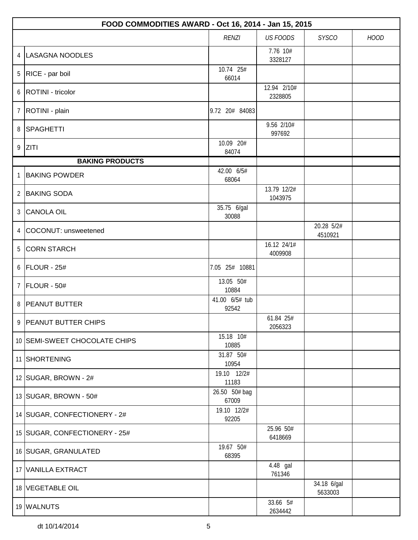|                | FOOD COMMODITIES AWARD - Oct 16, 2014 - Jan 15, 2015 |                         |                        |                        |             |  |  |
|----------------|------------------------------------------------------|-------------------------|------------------------|------------------------|-------------|--|--|
|                |                                                      | <b>RENZI</b>            | <b>US FOODS</b>        | <b>SYSCO</b>           | <b>HOOD</b> |  |  |
| 4              | LASAGNA NOODLES                                      |                         | 7.76 10#<br>3328127    |                        |             |  |  |
| 5              | RICE - par boil                                      | 10.74 25#<br>66014      |                        |                        |             |  |  |
| 6              | <b>ROTINI</b> - tricolor                             |                         | 12.94 2/10#<br>2328805 |                        |             |  |  |
| $\overline{7}$ | ROTINI - plain                                       | 9.72 20# 84083          |                        |                        |             |  |  |
| 8              | SPAGHETTI                                            |                         | 9.56 2/10#<br>997692   |                        |             |  |  |
|                | $9$ ZITI                                             | 10.09 20#<br>84074      |                        |                        |             |  |  |
|                | <b>BAKING PRODUCTS</b>                               |                         |                        |                        |             |  |  |
| 1              | <b>BAKING POWDER</b>                                 | 42.00 6/5#<br>68064     |                        |                        |             |  |  |
| $\overline{2}$ | <b>BAKING SODA</b>                                   |                         | 13.79 12/2#<br>1043975 |                        |             |  |  |
| 3              | <b>CANOLA OIL</b>                                    | 35.75 6/gal<br>30088    |                        |                        |             |  |  |
| $\overline{4}$ | COCONUT: unsweetened                                 |                         |                        | 20.28 5/2#<br>4510921  |             |  |  |
| 5              | <b>CORN STARCH</b>                                   |                         | 16.12 24/1#<br>4009908 |                        |             |  |  |
| 6              | FLOUR - 25#                                          | 7.05 25# 10881          |                        |                        |             |  |  |
| $\overline{7}$ | FLOUR - 50#                                          | 13.05 50#<br>10884      |                        |                        |             |  |  |
| 8              | <b>PEANUT BUTTER</b>                                 | 41.00 6/5# tub<br>92542 |                        |                        |             |  |  |
|                | 9 PEANUT BUTTER CHIPS                                |                         | 61.84 25#<br>2056323   |                        |             |  |  |
|                | 10 SEMI-SWEET CHOCOLATE CHIPS                        | 15.18 10#<br>10885      |                        |                        |             |  |  |
|                | 11 SHORTENING                                        | 31.87 50#<br>10954      |                        |                        |             |  |  |
|                | 12   SUGAR, BROWN - 2#                               | 19.10 12/2#<br>11183    |                        |                        |             |  |  |
|                | 13 SUGAR, BROWN - 50#                                | 26.50 50# bag<br>67009  |                        |                        |             |  |  |
|                | 14 SUGAR, CONFECTIONERY - 2#                         | 19.10 12/2#<br>92205    |                        |                        |             |  |  |
|                | 15   SUGAR, CONFECTIONERY - 25#                      |                         | 25.96 50#<br>6418669   |                        |             |  |  |
|                | 16 SUGAR, GRANULATED                                 | 19.67 50#<br>68395      |                        |                        |             |  |  |
|                | 17 VANILLA EXTRACT                                   |                         | 4.48 gal<br>761346     |                        |             |  |  |
|                | 18 VEGETABLE OIL                                     |                         |                        | 34.18 6/gal<br>5633003 |             |  |  |
|                | 19 WALNUTS                                           |                         | 33.66 5#<br>2634442    |                        |             |  |  |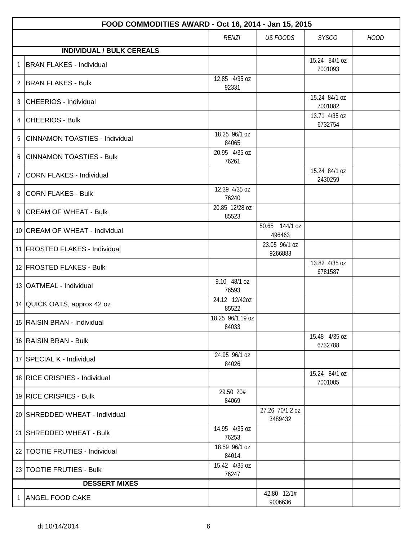|                | FOOD COMMODITIES AWARD - Oct 16, 2014 - Jan 15, 2015 |                           |                            |                          |             |
|----------------|------------------------------------------------------|---------------------------|----------------------------|--------------------------|-------------|
|                |                                                      | <b>RENZI</b>              | <b>US FOODS</b>            | <b>SYSCO</b>             | <b>HOOD</b> |
|                | <b>INDIVIDUAL / BULK CEREALS</b>                     |                           |                            |                          |             |
| 1              | <b>BRAN FLAKES - Individual</b>                      |                           |                            | 15.24 84/1 oz<br>7001093 |             |
|                | 2 BRAN FLAKES - Bulk                                 | 12.85 4/35 oz<br>92331    |                            |                          |             |
|                | 3 CHEERIOS - Individual                              |                           |                            | 15.24 84/1 oz<br>7001082 |             |
|                | 4 CHEERIOS - Bulk                                    |                           |                            | 13.71 4/35 oz<br>6732754 |             |
| 5              | <b>CINNAMON TOASTIES - Individual</b>                | 18.25 96/1 oz<br>84065    |                            |                          |             |
| 6              | <b>CINNAMON TOASTIES - Bulk</b>                      | 20.95 4/35 oz<br>76261    |                            |                          |             |
| $\overline{7}$ | <b>CORN FLAKES - Individual</b>                      |                           |                            | 15.24 84/1 oz<br>2430259 |             |
|                | 8 CORN FLAKES - Bulk                                 | 12.39 4/35 oz<br>76240    |                            |                          |             |
|                | 9 CREAM OF WHEAT - Bulk                              | 20.85 12/28 oz<br>85523   |                            |                          |             |
|                | 10 CREAM OF WHEAT - Individual                       |                           | 50.65 144/1 oz<br>496463   |                          |             |
|                | 11 FROSTED FLAKES - Individual                       |                           | 23.05 96/1 oz<br>9266883   |                          |             |
|                | 12 FROSTED FLAKES - Bulk                             |                           |                            | 13.82 4/35 oz<br>6781587 |             |
|                | 13 OATMEAL - Individual                              | 9.10 48/1 oz<br>76593     |                            |                          |             |
|                | 14 QUICK OATS, approx 42 oz                          | 24.12 12/42oz<br>85522    |                            |                          |             |
|                | 15 RAISIN BRAN - Individual                          | 18.25 96/1.19 oz<br>84033 |                            |                          |             |
|                | 16 RAISIN BRAN - Bulk                                |                           |                            | 15.48 4/35 oz<br>6732788 |             |
|                | 17 SPECIAL K - Individual                            | 24.95 96/1 oz<br>84026    |                            |                          |             |
|                | 18 RICE CRISPIES - Individual                        |                           |                            | 15.24 84/1 oz<br>7001085 |             |
|                | 19 RICE CRISPIES - Bulk                              | 29.50 20#<br>84069        |                            |                          |             |
|                | 20   SHREDDED WHEAT - Individual                     |                           | 27.26 70/1.2 oz<br>3489432 |                          |             |
|                | 21 SHREDDED WHEAT - Bulk                             | 14.95 4/35 oz<br>76253    |                            |                          |             |
|                | 22 TOOTIE FRUTIES - Individual                       | 18.59 96/1 oz<br>84014    |                            |                          |             |
|                | 23 TOOTIE FRUTIES - Bulk                             | 15.42 4/35 oz<br>76247    |                            |                          |             |
|                | <b>DESSERT MIXES</b>                                 |                           |                            |                          |             |
| 1              | <b>ANGEL FOOD CAKE</b>                               |                           | 42.80 12/1#<br>9006636     |                          |             |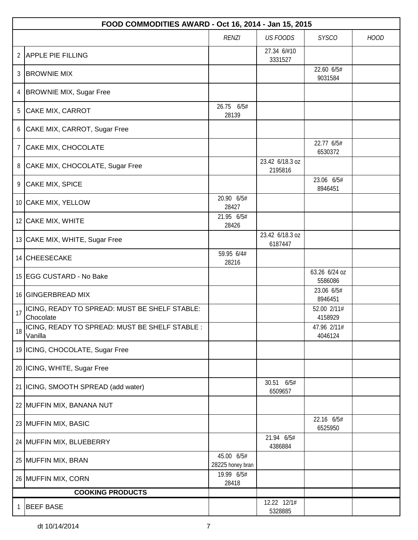|                | FOOD COMMODITIES AWARD - Oct 16, 2014 - Jan 15, 2015       |                                |                            |                          |             |  |
|----------------|------------------------------------------------------------|--------------------------------|----------------------------|--------------------------|-------------|--|
|                |                                                            | <b>RENZI</b>                   | <b>US FOODS</b>            | <b>SYSCO</b>             | <b>HOOD</b> |  |
|                | 2 APPLE PIE FILLING                                        |                                | 27.34 6/#10<br>3331527     |                          |             |  |
| 3              | <b>BROWNIE MIX</b>                                         |                                |                            | 22.60 6/5#<br>9031584    |             |  |
| 4              | <b>BROWNIE MIX, Sugar Free</b>                             |                                |                            |                          |             |  |
| 5              | CAKE MIX, CARROT                                           | 26.75 6/5#<br>28139            |                            |                          |             |  |
| 6              | CAKE MIX, CARROT, Sugar Free                               |                                |                            |                          |             |  |
| $\overline{7}$ | CAKE MIX, CHOCOLATE                                        |                                |                            | 22.77 6/5#<br>6530372    |             |  |
| 8              | CAKE MIX, CHOCOLATE, Sugar Free                            |                                | 23.42 6/18.3 oz<br>2195816 |                          |             |  |
|                | 9 CAKE MIX, SPICE                                          |                                |                            | 23.06 6/5#<br>8946451    |             |  |
|                | 10 CAKE MIX, YELLOW                                        | 20.90 6/5#<br>28427            |                            |                          |             |  |
|                | 12 CAKE MIX, WHITE                                         | 21.95 6/5#<br>28426            |                            |                          |             |  |
|                | 13 CAKE MIX, WHITE, Sugar Free                             |                                | 23.42 6/18.3 oz<br>6187447 |                          |             |  |
|                | 14 CHEESECAKE                                              | 59.95 6/4#<br>28216            |                            |                          |             |  |
|                | 15 EGG CUSTARD - No Bake                                   |                                |                            | 63.26 6/24 oz<br>5586086 |             |  |
|                | 16 GINGERBREAD MIX                                         |                                |                            | 23.06 6/5#<br>8946451    |             |  |
| 17             | ICING, READY TO SPREAD: MUST BE SHELF STABLE:<br>Chocolate |                                |                            | 52.00 2/11#<br>4158929   |             |  |
| 18             | ICING, READY TO SPREAD: MUST BE SHELF STABLE :<br>Vanilla  |                                |                            | 47.96 2/11#<br>4046124   |             |  |
|                | 19   ICING, CHOCOLATE, Sugar Free                          |                                |                            |                          |             |  |
|                | 20   ICING, WHITE, Sugar Free                              |                                |                            |                          |             |  |
|                | 21   ICING, SMOOTH SPREAD (add water)                      |                                | 30.51 6/5#<br>6509657      |                          |             |  |
|                | 22 MUFFIN MIX, BANANA NUT                                  |                                |                            |                          |             |  |
|                | 23 MUFFIN MIX, BASIC                                       |                                |                            | 22.16 6/5#<br>6525950    |             |  |
|                | 24 MUFFIN MIX, BLUEBERRY                                   |                                | 21.94 6/5#<br>4386884      |                          |             |  |
|                | 25 MUFFIN MIX, BRAN                                        | 45.00 6/5#<br>28225 honey bran |                            |                          |             |  |
|                | 26 MUFFIN MIX, CORN                                        | 19.99 6/5#<br>28418            |                            |                          |             |  |
|                | <b>COOKING PRODUCTS</b>                                    |                                |                            |                          |             |  |
|                | <b>BEEF BASE</b>                                           |                                | 12.22 12/1#<br>5328885     |                          |             |  |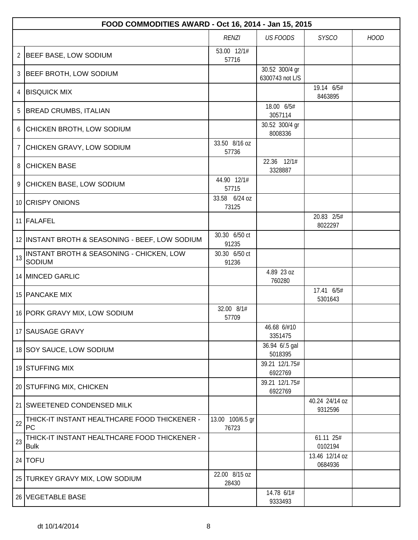|                | FOOD COMMODITIES AWARD - Oct 16, 2014 - Jan 15, 2015        |                           |                                   |                           |             |  |
|----------------|-------------------------------------------------------------|---------------------------|-----------------------------------|---------------------------|-------------|--|
|                |                                                             | <b>RENZI</b>              | <b>US FOODS</b>                   | <b>SYSCO</b>              | <b>HOOD</b> |  |
| $\overline{2}$ | BEEF BASE, LOW SODIUM                                       | 53.00 12/1#<br>57716      |                                   |                           |             |  |
| 3              | <b>BEEF BROTH, LOW SODIUM</b>                               |                           | 30.52 300/4 gr<br>6300743 not L/S |                           |             |  |
| 4              | <b>BISQUICK MIX</b>                                         |                           |                                   | 19.14 6/5#<br>8463895     |             |  |
| 5              | <b>BREAD CRUMBS, ITALIAN</b>                                |                           | 18.00 6/5#<br>3057114             |                           |             |  |
| 6              | CHICKEN BROTH, LOW SODIUM                                   |                           | 30.52 300/4 gr<br>8008336         |                           |             |  |
| $7^{\circ}$    | CHICKEN GRAVY, LOW SODIUM                                   | 33.50 8/16 oz<br>57736    |                                   |                           |             |  |
| 8              | <b>CHICKEN BASE</b>                                         |                           | 22.36 12/1#<br>3328887            |                           |             |  |
|                | 9 CHICKEN BASE, LOW SODIUM                                  | 44.90 12/1#<br>57715      |                                   |                           |             |  |
|                | 10 CRISPY ONIONS                                            | 33.58 6/24 oz<br>73125    |                                   |                           |             |  |
|                | 11 FALAFEL                                                  |                           |                                   | 20.83 2/5#<br>8022297     |             |  |
|                | 12 INSTANT BROTH & SEASONING - BEEF, LOW SODIUM             | 30.30 6/50 ct<br>91235    |                                   |                           |             |  |
| 13             | INSTANT BROTH & SEASONING - CHICKEN, LOW<br>SODIUM          | 30.30 6/50 ct<br>91236    |                                   |                           |             |  |
|                | 14 MINCED GARLIC                                            |                           | 4.89 23 oz<br>760280              |                           |             |  |
|                | 15 PANCAKE MIX                                              |                           |                                   | 17.41 6/5#<br>5301643     |             |  |
|                | 16 PORK GRAVY MIX, LOW SODIUM                               | 32.00 8/1#<br>57709       |                                   |                           |             |  |
|                | 17 SAUSAGE GRAVY                                            |                           | 46.68 6/#10<br>3351475            |                           |             |  |
|                | 18 SOY SAUCE, LOW SODIUM                                    |                           | 36.94 6/.5 gal<br>5018395         |                           |             |  |
|                | 19 STUFFING MIX                                             |                           | 39.21 12/1.75#<br>6922769         |                           |             |  |
|                | 20 STUFFING MIX, CHICKEN                                    |                           | 39.21 12/1.75#<br>6922769         |                           |             |  |
|                | 21 SWEETENED CONDENSED MILK                                 |                           |                                   | 40.24 24/14 oz<br>9312596 |             |  |
| 22             | THICK-IT INSTANT HEALTHCARE FOOD THICKENER -<br>PC          | 13.00 100/6.5 gr<br>76723 |                                   |                           |             |  |
| 23             | THICK-IT INSTANT HEALTHCARE FOOD THICKENER -<br><b>Bulk</b> |                           |                                   | 61.11 25#<br>0102194      |             |  |
|                | 24   $TOFU$                                                 |                           |                                   | 13.46 12/14 oz<br>0684936 |             |  |
|                | 25 TURKEY GRAVY MIX, LOW SODIUM                             | 22.00 8/15 oz<br>28430    |                                   |                           |             |  |
|                | 26 VEGETABLE BASE                                           |                           | 14.78 6/1#<br>9333493             |                           |             |  |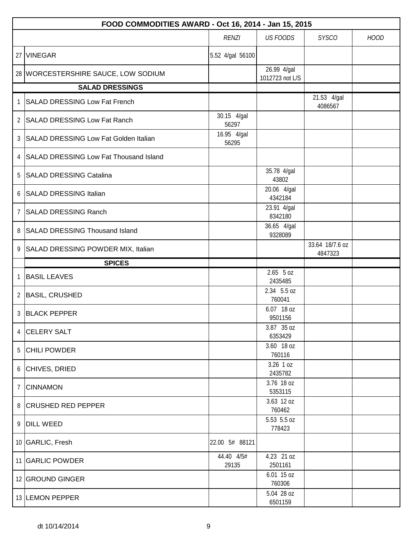|                | FOOD COMMODITIES AWARD - Oct 16, 2014 - Jan 15, 2015 |                      |                                |                            |             |  |  |
|----------------|------------------------------------------------------|----------------------|--------------------------------|----------------------------|-------------|--|--|
|                |                                                      | <b>RENZI</b>         | <b>US FOODS</b>                | <b>SYSCO</b>               | <b>HOOD</b> |  |  |
|                | 27 VINEGAR                                           | 5.52 4/gal 56100     |                                |                            |             |  |  |
|                | 28 WORCESTERSHIRE SAUCE, LOW SODIUM                  |                      | 26.99 4/gal<br>1012723 not L/S |                            |             |  |  |
|                | <b>SALAD DRESSINGS</b>                               |                      |                                |                            |             |  |  |
|                | 1 SALAD DRESSING Low Fat French                      |                      |                                | 21.53 4/gal<br>4086567     |             |  |  |
|                | 2 SALAD DRESSING Low Fat Ranch                       | 30.15 4/gal<br>56297 |                                |                            |             |  |  |
|                | 3 SALAD DRESSING Low Fat Golden Italian              | 16.95 4/gal<br>56295 |                                |                            |             |  |  |
|                | 4   SALAD DRESSING Low Fat Thousand Island           |                      |                                |                            |             |  |  |
|                | 5 SALAD DRESSING Catalina                            |                      | 35.78 4/gal<br>43802           |                            |             |  |  |
|                | 6 SALAD DRESSING Italian                             |                      | 20.06 4/gal<br>4342184         |                            |             |  |  |
| $7^{\circ}$    | <b>SALAD DRESSING Ranch</b>                          |                      | 23.91 4/gal<br>8342180         |                            |             |  |  |
|                | 8 SALAD DRESSING Thousand Island                     |                      | 36.65 4/gal<br>9328089         |                            |             |  |  |
|                | 9 SALAD DRESSING POWDER MIX, Italian                 |                      |                                | 33.64 18/7.6 oz<br>4847323 |             |  |  |
|                | <b>SPICES</b>                                        |                      |                                |                            |             |  |  |
| $\mathbf{1}$   | <b>BASIL LEAVES</b>                                  |                      | $2.65$ 5 oz<br>2435485         |                            |             |  |  |
|                | 2 BASIL, CRUSHED                                     |                      | 2.34 5.5 oz<br>760041          |                            |             |  |  |
|                | 3 BLACK PEPPER                                       |                      | 6.07 18 oz<br>9501156          |                            |             |  |  |
|                | 4 CELERY SALT                                        |                      | 3.87 35 oz<br>6353429          |                            |             |  |  |
|                | 5 CHILI POWDER                                       |                      | 3.60 18 oz<br>760116           |                            |             |  |  |
|                | 6 CHIVES, DRIED                                      |                      | $3.26$ 1 oz<br>2435782         |                            |             |  |  |
| $7\phantom{.}$ | <b>CINNAMON</b>                                      |                      | 3.76 18 oz<br>5353115          |                            |             |  |  |
|                | 8 CRUSHED RED PEPPER                                 |                      | 3.63 12 oz<br>760462           |                            |             |  |  |
|                | 9 DILL WEED                                          |                      | 5.53 5.5 oz<br>778423          |                            |             |  |  |
|                | 10 GARLIC, Fresh                                     | 22.00 5# 88121       |                                |                            |             |  |  |
|                | 11 GARLIC POWDER                                     | 44.40 4/5#<br>29135  | 4.23 21 oz<br>2501161          |                            |             |  |  |
|                | 12 GROUND GINGER                                     |                      | 6.01 15 oz<br>760306           |                            |             |  |  |
|                | 13 LEMON PEPPER                                      |                      | 5.04 28 oz<br>6501159          |                            |             |  |  |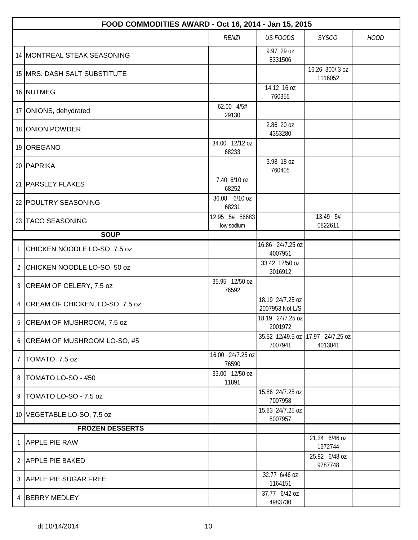|                | FOOD COMMODITIES AWARD - Oct 16, 2014 - Jan 15, 2015 |                              |                                     |                             |             |  |
|----------------|------------------------------------------------------|------------------------------|-------------------------------------|-----------------------------|-------------|--|
|                |                                                      | <b>RENZI</b>                 | <b>US FOODS</b>                     | <b>SYSCO</b>                | <b>HOOD</b> |  |
|                | 14 MONTREAL STEAK SEASONING                          |                              | 9.97 29 oz<br>8331506               |                             |             |  |
|                | 15   MRS. DASH SALT SUBSTITUTE                       |                              |                                     | 16.26 300/.3 oz<br>1116052  |             |  |
|                | 16 NUTMEG                                            |                              | 14.12 16 oz<br>760355               |                             |             |  |
|                | 17 ONIONS, dehydrated                                | 62.00 4/5#<br>29130          |                                     |                             |             |  |
|                | 18 ONION POWDER                                      |                              | 2.86 20 oz<br>4353280               |                             |             |  |
|                | 19 OREGANO                                           | 34.00 12/12 oz<br>68233      |                                     |                             |             |  |
|                | 20   PAPRIKA                                         |                              | 3.98 18 oz<br>760405                |                             |             |  |
|                | 21 PARSLEY FLAKES                                    | 7.40 6/10 oz<br>68252        |                                     |                             |             |  |
|                | 22 POULTRY SEASONING                                 | 36.08 6/10 oz<br>68231       |                                     |                             |             |  |
|                | 23 TACO SEASONING                                    | 12.95 5# 56683<br>low sodium |                                     | 13.49 5#<br>0822611         |             |  |
|                | <b>SOUP</b>                                          |                              |                                     |                             |             |  |
| $\mathbf{1}$   | CHICKEN NOODLE LO-SO, 7.5 oz                         |                              | 16.86 24/7.25 oz<br>4007951         |                             |             |  |
| $\overline{2}$ | CHICKEN NOODLE LO-SO, 50 oz                          |                              | 33.42 12/50 oz<br>3016912           |                             |             |  |
| $\mathfrak{Z}$ | CREAM OF CELERY, 7.5 oz                              | 35.95 12/50 oz<br>76592      |                                     |                             |             |  |
| 4              | CREAM OF CHICKEN, LO-SO, 7.5 oz                      |                              | 18.19 24/7.25 oz<br>2007953 Not L/S |                             |             |  |
| 5              | CREAM OF MUSHROOM, 7.5 oz                            |                              | 18.19 24/7.25 oz<br>2001972         |                             |             |  |
|                | 6 CREAM OF MUSHROOM LO-SO, #5                        |                              | 35.52 12/49.5 oz<br>7007941         | 17.97 24/7.25 oz<br>4013041 |             |  |
| $\overline{7}$ | TOMATO, 7.5 oz                                       | 16.00 24/7.25 oz<br>76590    |                                     |                             |             |  |
| 8              | TOMATO LO-SO - #50                                   | 33.00 12/50 oz<br>11891      |                                     |                             |             |  |
| 9              | TOMATO LO-SO - 7.5 oz                                |                              | 15.86 24/7.25 oz<br>7007958         |                             |             |  |
|                | 10 VEGETABLE LO-SO, 7.5 oz                           |                              | 15.83 24/7.25 oz<br>8007957         |                             |             |  |
|                | <b>FROZEN DESSERTS</b>                               |                              |                                     |                             |             |  |
| 1              | <b>APPLE PIE RAW</b>                                 |                              |                                     | 21.34 6/46 oz<br>1972744    |             |  |
| $\mathbf{2}$   | <b>APPLE PIE BAKED</b>                               |                              |                                     | 25.92 6/48 oz<br>9787748    |             |  |
|                | 3 APPLE PIE SUGAR FREE                               |                              | 32.77 6/46 oz<br>1164151            |                             |             |  |
| 4              | <b>BERRY MEDLEY</b>                                  |                              | 37.77 6/42 oz<br>4983730            |                             |             |  |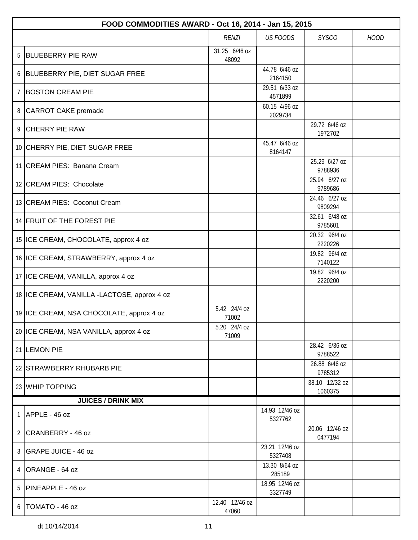|                | FOOD COMMODITIES AWARD - Oct 16, 2014 - Jan 15, 2015 |                         |                           |                           |             |  |  |
|----------------|------------------------------------------------------|-------------------------|---------------------------|---------------------------|-------------|--|--|
|                |                                                      | <b>RENZI</b>            | <b>US FOODS</b>           | <b>SYSCO</b>              | <b>HOOD</b> |  |  |
| 5              | <b>BLUEBERRY PIE RAW</b>                             | 31.25 6/46 oz<br>48092  |                           |                           |             |  |  |
|                | 6 BLUEBERRY PIE, DIET SUGAR FREE                     |                         | 44.78 6/46 oz<br>2164150  |                           |             |  |  |
| $\overline{7}$ | <b>BOSTON CREAM PIE</b>                              |                         | 29.51 6/33 oz<br>4571899  |                           |             |  |  |
|                | 8   CARROT CAKE premade                              |                         | 60.15 4/96 oz<br>2029734  |                           |             |  |  |
|                | 9 CHERRY PIE RAW                                     |                         |                           | 29.72 6/46 oz<br>1972702  |             |  |  |
|                | 10 CHERRY PIE, DIET SUGAR FREE                       |                         | 45.47 6/46 oz<br>8164147  |                           |             |  |  |
|                | 11 CREAM PIES: Banana Cream                          |                         |                           | 25.29 6/27 oz<br>9788936  |             |  |  |
|                | 12 CREAM PIES: Chocolate                             |                         |                           | 25.94 6/27 oz<br>9789686  |             |  |  |
|                | 13 CREAM PIES: Coconut Cream                         |                         |                           | 24.46 6/27 oz<br>9809294  |             |  |  |
|                | 14 FRUIT OF THE FOREST PIE                           |                         |                           | 32.61 6/48 oz<br>9785601  |             |  |  |
|                | 15 ICE CREAM, CHOCOLATE, approx 4 oz                 |                         |                           | 20.32 96/4 oz<br>2220226  |             |  |  |
|                | 16 ICE CREAM, STRAWBERRY, approx 4 oz                |                         |                           | 19.82 96/4 oz<br>7140122  |             |  |  |
|                | 17 ICE CREAM, VANILLA, approx 4 oz                   |                         |                           | 19.82 96/4 oz<br>2220200  |             |  |  |
|                | 18 ICE CREAM, VANILLA -LACTOSE, approx 4 oz          |                         |                           |                           |             |  |  |
|                | 19 ICE CREAM, NSA CHOCOLATE, approx 4 oz             | 5.42 24/4 oz<br>71002   |                           |                           |             |  |  |
|                | 20 ICE CREAM, NSA VANILLA, approx 4 oz               | 5.20 24/4 oz<br>71009   |                           |                           |             |  |  |
|                | 21 LEMON PIE                                         |                         |                           | 28.42 6/36 oz<br>9788522  |             |  |  |
|                | 22 STRAWBERRY RHUBARB PIE                            |                         |                           | 26.88 6/46 oz<br>9785312  |             |  |  |
|                | 23 WHIP TOPPING                                      |                         |                           | 38.10 12/32 oz<br>1060375 |             |  |  |
|                | <b>JUICES / DRINK MIX</b>                            |                         |                           |                           |             |  |  |
| 1              | APPLE - 46 oz                                        |                         | 14.93 12/46 oz<br>5327762 |                           |             |  |  |
|                | 2 CRANBERRY - 46 oz                                  |                         |                           | 20.06 12/46 oz<br>0477194 |             |  |  |
|                | 3 GRAPE JUICE - 46 oz                                |                         | 23.21 12/46 oz<br>5327408 |                           |             |  |  |
| 4              | ORANGE - 64 oz                                       |                         | 13.30 8/64 oz<br>285189   |                           |             |  |  |
| 5              | <b>PINEAPPLE - 46 oz</b>                             |                         | 18.95 12/46 oz<br>3327749 |                           |             |  |  |
|                | $6$   TOMATO - 46 oz                                 | 12.40 12/46 oz<br>47060 |                           |                           |             |  |  |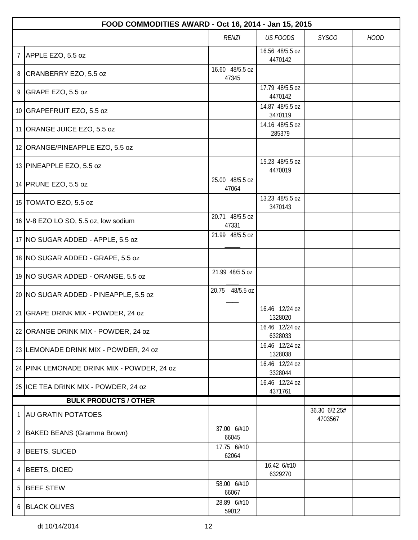|                | FOOD COMMODITIES AWARD - Oct 16, 2014 - Jan 15, 2015 |                          |                            |                          |             |  |  |
|----------------|------------------------------------------------------|--------------------------|----------------------------|--------------------------|-------------|--|--|
|                |                                                      | <b>RENZI</b>             | <b>US FOODS</b>            | <b>SYSCO</b>             | <b>HOOD</b> |  |  |
| $\overline{7}$ | APPLE EZO, 5.5 oz                                    |                          | 16.56 48/5.5 oz<br>4470142 |                          |             |  |  |
|                | 8 CRANBERRY EZO, 5.5 oz                              | 16.60 48/5.5 oz<br>47345 |                            |                          |             |  |  |
|                | 9 GRAPE EZO, 5.5 oz                                  |                          | 17.79 48/5.5 oz<br>4470142 |                          |             |  |  |
|                | 10 GRAPEFRUIT EZO, 5.5 oz                            |                          | 14.87 48/5.5 oz<br>3470119 |                          |             |  |  |
|                | 11 ORANGE JUICE EZO, 5.5 oz                          |                          | 14.16 48/5.5 oz<br>285379  |                          |             |  |  |
|                | 12 ORANGE/PINEAPPLE EZO, 5.5 oz                      |                          |                            |                          |             |  |  |
|                | 13 PINEAPPLE EZO, 5.5 oz                             |                          | 15.23 48/5.5 oz<br>4470019 |                          |             |  |  |
|                | 14 PRUNE EZO, 5.5 oz                                 | 25.00 48/5.5 oz<br>47064 |                            |                          |             |  |  |
|                | 15 TOMATO EZO, 5.5 oz                                |                          | 13.23 48/5.5 oz<br>3470143 |                          |             |  |  |
|                | 16 V-8 EZO LO SO, 5.5 oz, low sodium                 | 20.71 48/5.5 oz<br>47331 |                            |                          |             |  |  |
|                | 17 NO SUGAR ADDED - APPLE, 5.5 oz                    | 21.99 48/5.5 oz          |                            |                          |             |  |  |
|                | 18 NO SUGAR ADDED - GRAPE, 5.5 oz                    |                          |                            |                          |             |  |  |
|                | 19 NO SUGAR ADDED - ORANGE, 5.5 oz                   | 21.99 48/5.5 oz          |                            |                          |             |  |  |
|                | 20 NO SUGAR ADDED - PINEAPPLE, 5.5 oz                | 20.75 48/5.5 oz          |                            |                          |             |  |  |
|                | 21 GRAPE DRINK MIX - POWDER, 24 oz                   |                          | 16.46 12/24 oz<br>1328020  |                          |             |  |  |
|                | 22 ORANGE DRINK MIX - POWDER, 24 oz                  |                          | 16.46 12/24 oz<br>6328033  |                          |             |  |  |
|                | 23 LEMONADE DRINK MIX - POWDER, 24 oz                |                          | 16.46 12/24 oz<br>1328038  |                          |             |  |  |
|                | 24 PINK LEMONADE DRINK MIX - POWDER, 24 oz           |                          | 16.46 12/24 oz<br>3328044  |                          |             |  |  |
|                | 25 ICE TEA DRINK MIX - POWDER, 24 oz                 |                          | 16.46 12/24 oz<br>4371761  |                          |             |  |  |
|                | <b>BULK PRODUCTS / OTHER</b>                         |                          |                            |                          |             |  |  |
| 1              | <b>AU GRATIN POTATOES</b>                            |                          |                            | 36.30 6/2.25#<br>4703567 |             |  |  |
| $\overline{2}$ | BAKED BEANS (Gramma Brown)                           | 37.00 6/#10<br>66045     |                            |                          |             |  |  |
| 3              | BEETS, SLICED                                        | 17.75 6/#10<br>62064     |                            |                          |             |  |  |
| 4              | BEETS, DICED                                         |                          | 16.42 6/#10<br>6329270     |                          |             |  |  |
| 5              | <b>BEEF STEW</b>                                     | 58.00 6/#10<br>66067     |                            |                          |             |  |  |
|                | 6 BLACK OLIVES                                       | 28.89 6/#10<br>59012     |                            |                          |             |  |  |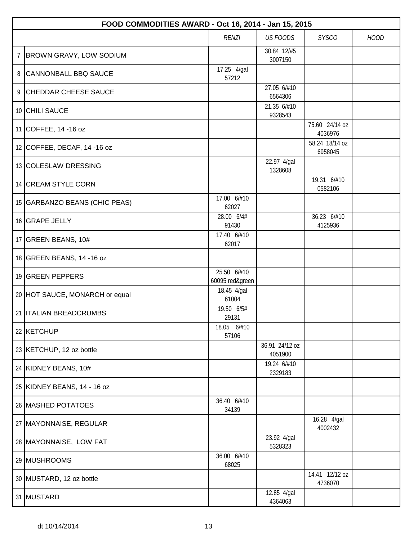|   | FOOD COMMODITIES AWARD - Oct 16, 2014 - Jan 15, 2015 |                                |                           |                           |             |  |  |
|---|------------------------------------------------------|--------------------------------|---------------------------|---------------------------|-------------|--|--|
|   |                                                      | <b>RENZI</b>                   | <b>US FOODS</b>           | <b>SYSCO</b>              | <b>HOOD</b> |  |  |
| 7 | <b>BROWN GRAVY, LOW SODIUM</b>                       |                                | 30.84 12/#5<br>3007150    |                           |             |  |  |
| 8 | <b>CANNONBALL BBQ SAUCE</b>                          | 17.25 4/gal<br>57212           |                           |                           |             |  |  |
| 9 | <b>CHEDDAR CHEESE SAUCE</b>                          |                                | 27.05 6/#10<br>6564306    |                           |             |  |  |
|   | 10 CHILI SAUCE                                       |                                | 21.35 6/#10<br>9328543    |                           |             |  |  |
|   | 11 COFFEE, 14 -16 oz                                 |                                |                           | 75.60 24/14 oz<br>4036976 |             |  |  |
|   | 12 COFFEE, DECAF, 14 -16 oz                          |                                |                           | 58.24 18/14 oz<br>6958045 |             |  |  |
|   | 13 COLESLAW DRESSING                                 |                                | 22.97 4/gal<br>1328608    |                           |             |  |  |
|   | 14 CREAM STYLE CORN                                  |                                |                           | 19.31 6/#10<br>0582106    |             |  |  |
|   | 15 GARBANZO BEANS (CHIC PEAS)                        | 17.00 6/#10<br>62027           |                           |                           |             |  |  |
|   | 16 GRAPE JELLY                                       | 28.00 6/4#<br>91430            |                           | 36.23 6/#10<br>4125936    |             |  |  |
|   | 17 GREEN BEANS, 10#                                  | 17.40 6/#10<br>62017           |                           |                           |             |  |  |
|   | 18 GREEN BEANS, 14 -16 oz                            |                                |                           |                           |             |  |  |
|   | 19 GREEN PEPPERS                                     | 25.50 6/#10<br>60095 red&green |                           |                           |             |  |  |
|   | 20 HOT SAUCE, MONARCH or equal                       | 18.45 4/gal<br>61004           |                           |                           |             |  |  |
|   | 21 <b>ITALIAN BREADCRUMBS</b>                        | 19.50 6/5#<br>29131            |                           |                           |             |  |  |
|   | 22 KETCHUP                                           | 18.05 6/#10<br>57106           |                           |                           |             |  |  |
|   | 23 KETCHUP, 12 oz bottle                             |                                | 36.91 24/12 oz<br>4051900 |                           |             |  |  |
|   | 24 KIDNEY BEANS, 10#                                 |                                | 19.24 6/#10<br>2329183    |                           |             |  |  |
|   | 25 KIDNEY BEANS, 14 - 16 oz                          |                                |                           |                           |             |  |  |
|   | 26 MASHED POTATOES                                   | 36.40 6/#10<br>34139           |                           |                           |             |  |  |
|   | 27   MAYONNAISE, REGULAR                             |                                |                           | 16.28 4/gal<br>4002432    |             |  |  |
|   | 28 MAYONNAISE, LOW FAT                               |                                | 23.92 4/gal<br>5328323    |                           |             |  |  |
|   | 29 MUSHROOMS                                         | 36.00 6/#10<br>68025           |                           |                           |             |  |  |
|   | 30 MUSTARD, 12 oz bottle                             |                                |                           | 14.41 12/12 oz<br>4736070 |             |  |  |
|   | 31 MUSTARD                                           |                                | 12.85 4/gal<br>4364063    |                           |             |  |  |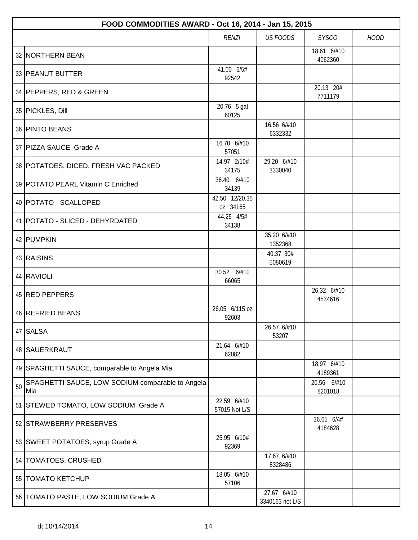|    | FOOD COMMODITIES AWARD - Oct 16, 2014 - Jan 15, 2015    |                              |                                |                        |             |  |  |
|----|---------------------------------------------------------|------------------------------|--------------------------------|------------------------|-------------|--|--|
|    |                                                         | <b>RENZI</b>                 | <b>US FOODS</b>                | <b>SYSCO</b>           | <b>HOOD</b> |  |  |
|    | 32 NORTHERN BEAN                                        |                              |                                | 18.61 6/#10<br>4062360 |             |  |  |
|    | 33 PEANUT BUTTER                                        | 41.00 6/5#<br>92542          |                                |                        |             |  |  |
|    | 34 PEPPERS, RED & GREEN                                 |                              |                                | 20.13 20#<br>7711179   |             |  |  |
|    | 35 PICKLES, Dill                                        | 20.76 5 gal<br>60125         |                                |                        |             |  |  |
|    | 36 PINTO BEANS                                          |                              | 16.56 6/#10<br>6332332         |                        |             |  |  |
|    | 37 PIZZA SAUCE Grade A                                  | 16.70 6/#10<br>57051         |                                |                        |             |  |  |
|    | 38 POTATOES, DICED, FRESH VAC PACKED                    | 14.97 2/10#<br>34175         | 29.20 6/#10<br>3330040         |                        |             |  |  |
|    | 39 POTATO PEARL Vitamin C Enriched                      | 36.40 6/#10<br>34139         |                                |                        |             |  |  |
|    | 40   POTATO - SCALLOPED                                 | 42.50 12/20.35<br>oz 34165   |                                |                        |             |  |  |
|    | 41   POTATO - SLICED - DEHYRDATED                       | 44.25 4/5#<br>34138          |                                |                        |             |  |  |
|    | 42 PUMPKIN                                              |                              | 35.20 6/#10<br>1352368         |                        |             |  |  |
|    | 43 RAISINS                                              |                              | 40.37 30#<br>5080619           |                        |             |  |  |
|    | 44 RAVIOLI                                              | 30.52 6/#10<br>66065         |                                |                        |             |  |  |
|    | 45 RED PEPPERS                                          |                              |                                | 26.32 6/#10<br>4534616 |             |  |  |
|    | 46 REFRIED BEANS                                        | 26.05 6/115 oz<br>92603      |                                |                        |             |  |  |
|    | 47 SALSA                                                |                              | 26.57 6/#10<br>53207           |                        |             |  |  |
|    | 48 SAUERKRAUT                                           | 21.64 6/#10<br>62082         |                                |                        |             |  |  |
|    | 49 SPAGHETTI SAUCE, comparable to Angela Mia            |                              |                                | 18.97 6/#10<br>4189361 |             |  |  |
| 50 | SPAGHETTI SAUCE, LOW SODIUM comparable to Angela<br>Mia |                              |                                | 20.56 6/#10<br>8201018 |             |  |  |
|    | 51 STEWED TOMATO, LOW SODIUM Grade A                    | 22.59 6/#10<br>57015 Not L/S |                                |                        |             |  |  |
|    | 52 STRAWBERRY PRESERVES                                 |                              |                                | 36.65 6/4#<br>4184628  |             |  |  |
|    | 53 SWEET POTATOES, syrup Grade A                        | 25.95 6/10#<br>92369         |                                |                        |             |  |  |
|    | 54   TOMATOES, CRUSHED                                  |                              | 17.67 6/#10<br>8328486         |                        |             |  |  |
|    | 55 TOMATO KETCHUP                                       | 18.05 6/#10<br>57106         |                                |                        |             |  |  |
|    | 56   TOMATO PASTE, LOW SODIUM Grade A                   |                              | 27.67 6/#10<br>3340163 not L/S |                        |             |  |  |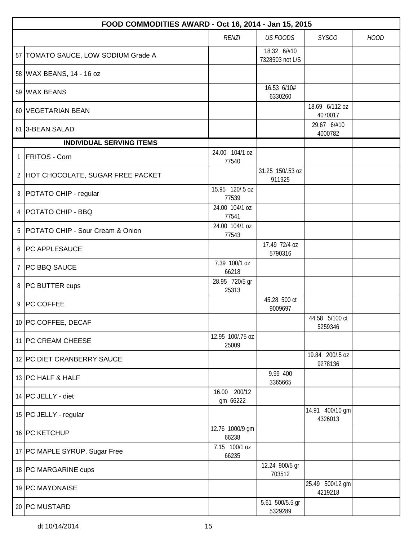|                | FOOD COMMODITIES AWARD - Oct 16, 2014 - Jan 15, 2015 |                           |                                |                            |             |  |  |
|----------------|------------------------------------------------------|---------------------------|--------------------------------|----------------------------|-------------|--|--|
|                |                                                      | <b>RENZI</b>              | <b>US FOODS</b>                | <b>SYSCO</b>               | <b>HOOD</b> |  |  |
|                | 57   TOMATO SAUCE, LOW SODIUM Grade A                |                           | 18.32 6/#10<br>7328503 not L/S |                            |             |  |  |
|                | 58 WAX BEANS, 14 - 16 oz                             |                           |                                |                            |             |  |  |
|                | 59 WAX BEANS                                         |                           | 16.53 6/10#<br>6330260         |                            |             |  |  |
|                | 60 VEGETARIAN BEAN                                   |                           |                                | 18.69 6/112 oz<br>4070017  |             |  |  |
|                | 61 3-BEAN SALAD                                      |                           |                                | 29.67 6/#10<br>4000782     |             |  |  |
|                | <b>INDIVIDUAL SERVING ITEMS</b>                      |                           |                                |                            |             |  |  |
| 1              | <b>FRITOS - Corn</b>                                 | 24.00 104/1 oz<br>77540   |                                |                            |             |  |  |
|                | 2 HOT CHOCOLATE, SUGAR FREE PACKET                   |                           | 31.25 150/.53 oz<br>911925     |                            |             |  |  |
| $\mathfrak{Z}$ | POTATO CHIP - regular                                | 15.95 120/.5 oz<br>77539  |                                |                            |             |  |  |
| 4              | POTATO CHIP - BBQ                                    | 24.00 104/1 oz<br>77541   |                                |                            |             |  |  |
|                | 5   POTATO CHIP - Sour Cream & Onion                 | 24.00 104/1 oz<br>77543   |                                |                            |             |  |  |
|                | 6   PC APPLESAUCE                                    |                           | 17.49 72/4 oz<br>5790316       |                            |             |  |  |
| $\overline{7}$ | <b>PC BBQ SAUCE</b>                                  | 7.39 100/1 oz<br>66218    |                                |                            |             |  |  |
|                | 8 PC BUTTER cups                                     | 28.95 720/5 gr<br>25313   |                                |                            |             |  |  |
|                | 9 PC COFFEE                                          |                           | 45.28 500 ct<br>9009697        |                            |             |  |  |
|                | 10 PC COFFEE, DECAF                                  |                           |                                | 44.58 5/100 ct<br>5259346  |             |  |  |
|                | 11 PC CREAM CHEESE                                   | 12.95 100/.75 oz<br>25009 |                                |                            |             |  |  |
|                | 12 PC DIET CRANBERRY SAUCE                           |                           |                                | 19.84 200/.5 oz<br>9278136 |             |  |  |
|                | 13 PC HALF & HALF                                    |                           | 9.99 400<br>3365665            |                            |             |  |  |
|                | 14 PC JELLY - diet                                   | 16.00 200/12<br>gm 66222  |                                |                            |             |  |  |
|                | 15   PC JELLY - regular                              |                           |                                | 14.91 400/10 gm<br>4326013 |             |  |  |
|                | 16 PC KETCHUP                                        | 12.76 1000/9 gm<br>66238  |                                |                            |             |  |  |
|                | 17 PC MAPLE SYRUP, Sugar Free                        | 7.15 100/1 oz<br>66235    |                                |                            |             |  |  |
|                | 18 PC MARGARINE cups                                 |                           | 12.24 900/5 gr<br>703512       |                            |             |  |  |
|                | 19 PC MAYONAISE                                      |                           |                                | 25.49 500/12 gm<br>4219218 |             |  |  |
|                | 20 PC MUSTARD                                        |                           | 5.61 500/5.5 gr<br>5329289     |                            |             |  |  |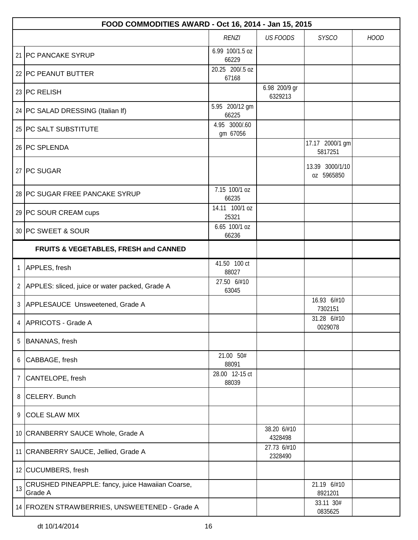|                | FOOD COMMODITIES AWARD - Oct 16, 2014 - Jan 15, 2015        |                           |                          |                               |             |  |  |
|----------------|-------------------------------------------------------------|---------------------------|--------------------------|-------------------------------|-------------|--|--|
|                |                                                             | <b>RENZI</b>              | <b>US FOODS</b>          | <b>SYSCO</b>                  | <b>HOOD</b> |  |  |
|                | 21 PC PANCAKE SYRUP                                         | 6.99 100/1.5 oz<br>66229  |                          |                               |             |  |  |
|                | 22 PC PEANUT BUTTER                                         | 20.25 200/.5 oz<br>67168  |                          |                               |             |  |  |
|                | 23 PC RELISH                                                |                           | 6.98 200/9 gr<br>6329213 |                               |             |  |  |
|                | 24   PC SALAD DRESSING (Italian If)                         | 5.95 200/12 gm<br>66225   |                          |                               |             |  |  |
|                | 25 PC SALT SUBSTITUTE                                       | 4.95 3000/.60<br>gm 67056 |                          |                               |             |  |  |
|                | 26 PC SPLENDA                                               |                           |                          | 17.17 2000/1 gm<br>5817251    |             |  |  |
|                | 27 PC SUGAR                                                 |                           |                          | 13.39 3000/1/10<br>oz 5965850 |             |  |  |
|                | 28 PC SUGAR FREE PANCAKE SYRUP                              | 7.15 100/1 oz<br>66235    |                          |                               |             |  |  |
|                | 29 PC SOUR CREAM cups                                       | 14.11 100/1 oz<br>25321   |                          |                               |             |  |  |
|                | 30 PC SWEET & SOUR                                          | 6.65 100/1 oz<br>66236    |                          |                               |             |  |  |
|                | FRUITS & VEGETABLES, FRESH and CANNED                       |                           |                          |                               |             |  |  |
| 1              | APPLES, fresh                                               | 41.50 100 ct<br>88027     |                          |                               |             |  |  |
|                | 2 APPLES: sliced, juice or water packed, Grade A            | 27.50 6/#10<br>63045      |                          |                               |             |  |  |
|                | 3 APPLESAUCE Unsweetened, Grade A                           |                           |                          | 16.93 6/#10<br>7302151        |             |  |  |
| $\overline{4}$ | APRICOTS - Grade A                                          |                           |                          | 31.28 6/#10<br>0029078        |             |  |  |
| 5              | <b>BANANAS, fresh</b>                                       |                           |                          |                               |             |  |  |
| 6              | CABBAGE, fresh                                              | 21.00 50#<br>88091        |                          |                               |             |  |  |
| 7              | CANTELOPE, fresh                                            | 28.00 12-15 ct<br>88039   |                          |                               |             |  |  |
| 8              | CELERY. Bunch                                               |                           |                          |                               |             |  |  |
| 9              | <b>COLE SLAW MIX</b>                                        |                           |                          |                               |             |  |  |
|                | 10 CRANBERRY SAUCE Whole, Grade A                           |                           | 38.20 6/#10<br>4328498   |                               |             |  |  |
|                | 11 CRANBERRY SAUCE, Jellied, Grade A                        |                           | 27.73 6/#10<br>2328490   |                               |             |  |  |
|                | 12 CUCUMBERS, fresh                                         |                           |                          |                               |             |  |  |
| 13             | CRUSHED PINEAPPLE: fancy, juice Hawaiian Coarse,<br>Grade A |                           |                          | 21.19 6/#10<br>8921201        |             |  |  |
|                | 14 FROZEN STRAWBERRIES, UNSWEETENED - Grade A               |                           |                          | 33.11 30#<br>0835625          |             |  |  |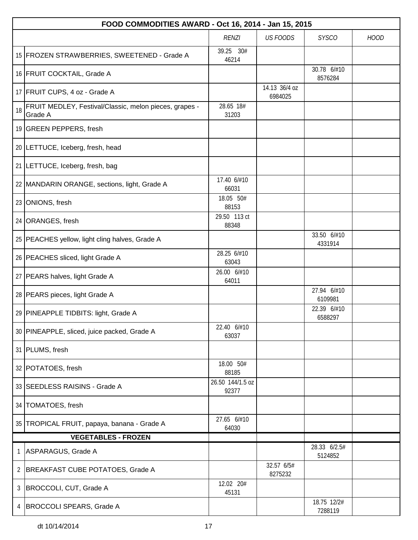|    | FOOD COMMODITIES AWARD - Oct 16, 2014 - Jan 15, 2015              |                           |                          |                         |             |  |  |
|----|-------------------------------------------------------------------|---------------------------|--------------------------|-------------------------|-------------|--|--|
|    |                                                                   | <b>RENZI</b>              | <b>US FOODS</b>          | <b>SYSCO</b>            | <b>HOOD</b> |  |  |
|    | 15 FROZEN STRAWBERRIES, SWEETENED - Grade A                       | 39.25 30#<br>46214        |                          |                         |             |  |  |
|    | 16 FRUIT COCKTAIL, Grade A                                        |                           |                          | 30.78 6/#10<br>8576284  |             |  |  |
|    | 17 FRUIT CUPS, 4 oz - Grade A                                     |                           | 14.13 36/4 oz<br>6984025 |                         |             |  |  |
| 18 | FRUIT MEDLEY, Festival/Classic, melon pieces, grapes -<br>Grade A | 28.65 18#<br>31203        |                          |                         |             |  |  |
|    | 19 GREEN PEPPERS, fresh                                           |                           |                          |                         |             |  |  |
|    | 20 LETTUCE, Iceberg, fresh, head                                  |                           |                          |                         |             |  |  |
|    | 21   LETTUCE, Iceberg, fresh, bag                                 |                           |                          |                         |             |  |  |
|    | 22 MANDARIN ORANGE, sections, light, Grade A                      | 17.40 6/#10<br>66031      |                          |                         |             |  |  |
|    | 23 ONIONS, fresh                                                  | 18.05 50#<br>88153        |                          |                         |             |  |  |
|    | 24 ORANGES, fresh                                                 | 29.50 113 ct<br>88348     |                          |                         |             |  |  |
|    | 25   PEACHES yellow, light cling halves, Grade A                  |                           |                          | 33.50 6/#10<br>4331914  |             |  |  |
|    | 26   PEACHES sliced, light Grade A                                | 28.25 6/#10<br>63043      |                          |                         |             |  |  |
|    | 27   PEARS halves, light Grade A                                  | 26.00 6/#10<br>64011      |                          |                         |             |  |  |
|    | 28   PEARS pieces, light Grade A                                  |                           |                          | 27.94 6/#10<br>6109981  |             |  |  |
|    | 29 PINEAPPLE TIDBITS: light, Grade A                              |                           |                          | 22.39 6/#10<br>6588297  |             |  |  |
|    | 30 PINEAPPLE, sliced, juice packed, Grade A                       | 22.40 6/#10<br>63037      |                          |                         |             |  |  |
|    | 31 PLUMS, fresh                                                   |                           |                          |                         |             |  |  |
|    | 32 POTATOES, fresh                                                | 18.00 50#<br>88185        |                          |                         |             |  |  |
|    | 33 SEEDLESS RAISINS - Grade A                                     | 26.50 144/1.5 oz<br>92377 |                          |                         |             |  |  |
|    | 34   TOMATOES, fresh                                              |                           |                          |                         |             |  |  |
|    | 35 TROPICAL FRUIT, papaya, banana - Grade A                       | 27.65 6/#10<br>64030      |                          |                         |             |  |  |
|    | <b>VEGETABLES - FROZEN</b>                                        |                           |                          |                         |             |  |  |
| 1  | ASPARAGUS, Grade A                                                |                           |                          | 28.33 6/2.5#<br>5124852 |             |  |  |
| 2  | BREAKFAST CUBE POTATOES, Grade A                                  |                           | 32.57 6/5#<br>8275232    |                         |             |  |  |
| 3  | BROCCOLI, CUT, Grade A                                            | 12.02 20#<br>45131        |                          |                         |             |  |  |
| 4  | BROCCOLI SPEARS, Grade A                                          |                           |                          | 18.75 12/2#<br>7288119  |             |  |  |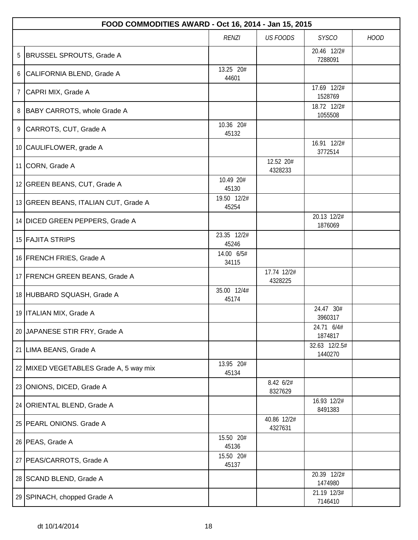|   | FOOD COMMODITIES AWARD - Oct 16, 2014 - Jan 15, 2015 |                      |                        |                          |             |  |  |
|---|------------------------------------------------------|----------------------|------------------------|--------------------------|-------------|--|--|
|   |                                                      | <b>RENZI</b>         | <b>US FOODS</b>        | <b>SYSCO</b>             | <b>HOOD</b> |  |  |
| 5 | <b>BRUSSEL SPROUTS, Grade A</b>                      |                      |                        | 20.46 12/2#<br>7288091   |             |  |  |
| 6 | CALIFORNIA BLEND, Grade A                            | 13.25 20#<br>44601   |                        |                          |             |  |  |
| 7 | CAPRI MIX, Grade A                                   |                      |                        | 17.69 12/2#<br>1528769   |             |  |  |
| 8 | BABY CARROTS, whole Grade A                          |                      |                        | 18.72 12/2#<br>1055508   |             |  |  |
| 9 | CARROTS, CUT, Grade A                                | 10.36 20#<br>45132   |                        |                          |             |  |  |
|   | 10 CAULIFLOWER, grade A                              |                      |                        | 16.91 12/2#<br>3772514   |             |  |  |
|   | 11 CORN, Grade A                                     |                      | 12.52 20#<br>4328233   |                          |             |  |  |
|   | 12 GREEN BEANS, CUT, Grade A                         | 10.49 20#<br>45130   |                        |                          |             |  |  |
|   | 13 GREEN BEANS, ITALIAN CUT, Grade A                 | 19.50 12/2#<br>45254 |                        |                          |             |  |  |
|   | 14 DICED GREEN PEPPERS, Grade A                      |                      |                        | 20.13 12/2#<br>1876069   |             |  |  |
|   | 15 FAJITA STRIPS                                     | 23.35 12/2#<br>45246 |                        |                          |             |  |  |
|   | 16 FRENCH FRIES, Grade A                             | 14.00 6/5#<br>34115  |                        |                          |             |  |  |
|   | 17 FRENCH GREEN BEANS, Grade A                       |                      | 17.74 12/2#<br>4328225 |                          |             |  |  |
|   | 18 HUBBARD SQUASH, Grade A                           | 35.00 12/4#<br>45174 |                        |                          |             |  |  |
|   | 19   ITALIAN MIX, Grade A                            |                      |                        | 24.47 30#<br>3960317     |             |  |  |
|   | 20 JAPANESE STIR FRY, Grade A                        |                      |                        | 24.71 6/4#<br>1874817    |             |  |  |
|   | 21 LIMA BEANS, Grade A                               |                      |                        | 32.63 12/2.5#<br>1440270 |             |  |  |
|   | 22 MIXED VEGETABLES Grade A, 5 way mix               | 13.95 20#<br>45134   |                        |                          |             |  |  |
|   | 23 ONIONS, DICED, Grade A                            |                      | 8.42 6/2#<br>8327629   |                          |             |  |  |
|   | 24 ORIENTAL BLEND, Grade A                           |                      |                        | 16.93 12/2#<br>8491383   |             |  |  |
|   | 25 PEARL ONIONS. Grade A                             |                      | 40.86 12/2#<br>4327631 |                          |             |  |  |
|   | 26 PEAS, Grade A                                     | 15.50 20#<br>45136   |                        |                          |             |  |  |
|   | 27   PEAS/CARROTS, Grade A                           | 15.50 20#<br>45137   |                        |                          |             |  |  |
|   | 28 SCAND BLEND, Grade A                              |                      |                        | 20.39 12/2#<br>1474980   |             |  |  |
|   | 29 SPINACH, chopped Grade A                          |                      |                        | 21.19 12/3#<br>7146410   |             |  |  |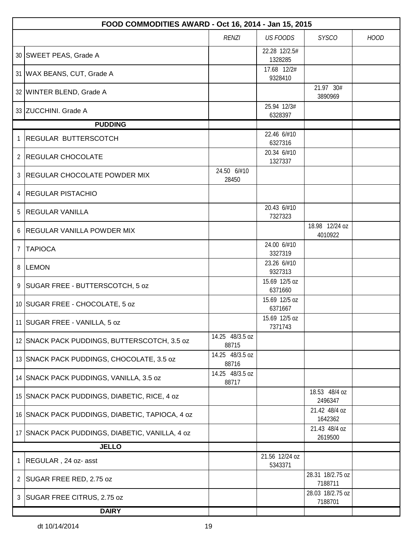|                | FOOD COMMODITIES AWARD - Oct 16, 2014 - Jan 15, 2015 |                          |                           |                             |             |  |  |
|----------------|------------------------------------------------------|--------------------------|---------------------------|-----------------------------|-------------|--|--|
|                |                                                      | <b>RENZI</b>             | <b>US FOODS</b>           | <b>SYSCO</b>                | <b>HOOD</b> |  |  |
|                | 30 SWEET PEAS, Grade A                               |                          | 22.28 12/2.5#<br>1328285  |                             |             |  |  |
|                | 31   WAX BEANS, CUT, Grade A                         |                          | 17.68 12/2#<br>9328410    |                             |             |  |  |
|                | 32 WINTER BLEND, Grade A                             |                          |                           | 21.97 30#<br>3890969        |             |  |  |
|                | 33 ZUCCHINI. Grade A                                 |                          | 25.94 12/3#<br>6328397    |                             |             |  |  |
|                | <b>PUDDING</b>                                       |                          |                           |                             |             |  |  |
| 1              | <b>REGULAR BUTTERSCOTCH</b>                          |                          | 22.46 6/#10<br>6327316    |                             |             |  |  |
| $\mathbf{2}$   | <b>REGULAR CHOCOLATE</b>                             |                          | 20.34 6/#10<br>1327337    |                             |             |  |  |
| 3              | <b>REGULAR CHOCOLATE POWDER MIX</b>                  | 24.50 6/#10<br>28450     |                           |                             |             |  |  |
| 4              | <b>REGULAR PISTACHIO</b>                             |                          |                           |                             |             |  |  |
| 5              | <b>REGULAR VANILLA</b>                               |                          | 20.43 6/#10<br>7327323    |                             |             |  |  |
|                | 6 REGULAR VANILLA POWDER MIX                         |                          |                           | 18.98 12/24 oz<br>4010922   |             |  |  |
| $\overline{7}$ | <b>TAPIOCA</b>                                       |                          | 24.00 6/#10<br>3327319    |                             |             |  |  |
|                | 8 LEMON                                              |                          | 23.26 6/#10<br>9327313    |                             |             |  |  |
| 9              | SUGAR FREE - BUTTERSCOTCH, 5 oz                      |                          | 15.69 12/5 oz<br>6371660  |                             |             |  |  |
|                | 10 SUGAR FREE - CHOCOLATE, 5 oz                      |                          | 15.69 12/5 oz<br>6371667  |                             |             |  |  |
|                | 11 SUGAR FREE - VANILLA, 5 oz                        |                          | 15.69 12/5 oz<br>7371743  |                             |             |  |  |
|                | 12 SNACK PACK PUDDINGS, BUTTERSCOTCH, 3.5 oz         | 14.25 48/3.5 oz<br>88715 |                           |                             |             |  |  |
|                | 13 SNACK PACK PUDDINGS, CHOCOLATE, 3.5 oz            | 14.25 48/3.5 oz<br>88716 |                           |                             |             |  |  |
|                | 14 SNACK PACK PUDDINGS, VANILLA, 3.5 oz              | 14.25 48/3.5 oz<br>88717 |                           |                             |             |  |  |
|                | 15 SNACK PACK PUDDINGS, DIABETIC, RICE, 4 oz         |                          |                           | 18.53 48/4 oz<br>2496347    |             |  |  |
|                | 16 SNACK PACK PUDDINGS, DIABETIC, TAPIOCA, 4 oz      |                          |                           | 21.42 48/4 oz<br>1642362    |             |  |  |
|                | 17 SNACK PACK PUDDINGS, DIABETIC, VANILLA, 4 oz      |                          |                           | 21.43 48/4 oz<br>2619500    |             |  |  |
|                | <b>JELLO</b>                                         |                          |                           |                             |             |  |  |
| 1              | REGULAR, 24 oz- asst                                 |                          | 21.56 12/24 oz<br>5343371 |                             |             |  |  |
|                | 2 SUGAR FREE RED, 2.75 oz                            |                          |                           | 28.31 18/2.75 oz<br>7188711 |             |  |  |
|                | 3   SUGAR FREE CITRUS, 2.75 oz                       |                          |                           | 28.03 18/2.75 oz<br>7188701 |             |  |  |
|                | <b>DAIRY</b>                                         |                          |                           |                             |             |  |  |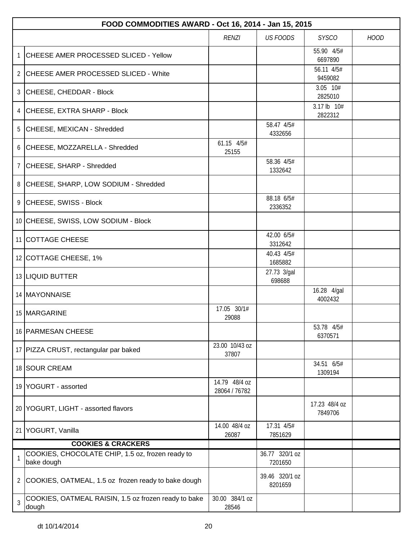|                | FOOD COMMODITIES AWARD - Oct 16, 2014 - Jan 15, 2015           |                                |                           |                          |             |  |  |  |
|----------------|----------------------------------------------------------------|--------------------------------|---------------------------|--------------------------|-------------|--|--|--|
|                |                                                                | <b>RENZI</b>                   | <b>US FOODS</b>           | <b>SYSCO</b>             | <b>HOOD</b> |  |  |  |
|                | CHEESE AMER PROCESSED SLICED - Yellow                          |                                |                           | 55.90 4/5#<br>6697890    |             |  |  |  |
|                | 2 CHEESE AMER PROCESSED SLICED - White                         |                                |                           | 56.11 4/5#<br>9459082    |             |  |  |  |
|                | 3 CHEESE, CHEDDAR - Block                                      |                                |                           | 3.05 10#<br>2825010      |             |  |  |  |
|                | 4 CHEESE, EXTRA SHARP - Block                                  |                                |                           | 3.17 lb 10#<br>2822312   |             |  |  |  |
| 5              | CHEESE, MEXICAN - Shredded                                     |                                | 58.47 4/5#<br>4332656     |                          |             |  |  |  |
|                | 6 CHEESE, MOZZARELLA - Shredded                                | 61.15 4/5#<br>25155            |                           |                          |             |  |  |  |
| $\overline{7}$ | CHEESE, SHARP - Shredded                                       |                                | 58.36 4/5#<br>1332642     |                          |             |  |  |  |
|                | 8 CHEESE, SHARP, LOW SODIUM - Shredded                         |                                |                           |                          |             |  |  |  |
|                | 9 CHEESE, SWISS - Block                                        |                                | 88.18 6/5#<br>2336352     |                          |             |  |  |  |
|                | 10 CHEESE, SWISS, LOW SODIUM - Block                           |                                |                           |                          |             |  |  |  |
|                | 11 COTTAGE CHEESE                                              |                                | 42.00 6/5#<br>3312642     |                          |             |  |  |  |
|                | 12 COTTAGE CHEESE, 1%                                          |                                | 40.43 4/5#<br>1685882     |                          |             |  |  |  |
|                | 13 LIQUID BUTTER                                               |                                | 27.73 3/gal<br>698688     |                          |             |  |  |  |
|                | 14 MAYONNAISE                                                  |                                |                           | 16.28 4/gal<br>4002432   |             |  |  |  |
|                | 15 MARGARINE                                                   | 17.05 30/1#<br>29088           |                           |                          |             |  |  |  |
|                | 16 PARMESAN CHEESE                                             |                                |                           | 53.78 4/5#<br>6370571    |             |  |  |  |
|                | 17 PIZZA CRUST, rectangular par baked                          | 23.00 10/43 oz<br>37807        |                           |                          |             |  |  |  |
|                | 18 SOUR CREAM                                                  |                                |                           | 34.51 6/5#<br>1309194    |             |  |  |  |
|                | 19 YOGURT - assorted                                           | 14.79 48/4 oz<br>28064 / 76782 |                           |                          |             |  |  |  |
|                | 20 YOGURT, LIGHT - assorted flavors                            |                                |                           | 17.23 48/4 oz<br>7849706 |             |  |  |  |
|                | 21 YOGURT, Vanilla                                             | 14.00 48/4 oz<br>26087         | 17.31 4/5#<br>7851629     |                          |             |  |  |  |
|                | <b>COOKIES &amp; CRACKERS</b>                                  |                                |                           |                          |             |  |  |  |
|                | COOKIES, CHOCOLATE CHIP, 1.5 oz, frozen ready to<br>bake dough |                                | 36.77 320/1 oz<br>7201650 |                          |             |  |  |  |
| 2              | COOKIES, OATMEAL, 1.5 oz frozen ready to bake dough            |                                | 39.46 320/1 oz<br>8201659 |                          |             |  |  |  |
| 3              | COOKIES, OATMEAL RAISIN, 1.5 oz frozen ready to bake<br>dough  | 30.00 384/1 oz<br>28546        |                           |                          |             |  |  |  |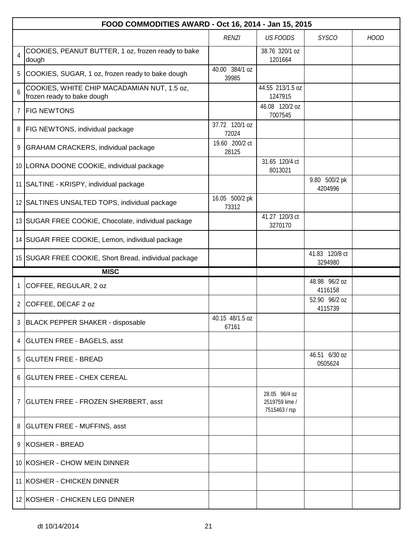|                | FOOD COMMODITIES AWARD - Oct 16, 2014 - Jan 15, 2015                      |                          |                                                  |                           |             |  |  |
|----------------|---------------------------------------------------------------------------|--------------------------|--------------------------------------------------|---------------------------|-------------|--|--|
|                |                                                                           | <b>RENZI</b>             | <b>US FOODS</b>                                  | <b>SYSCO</b>              | <b>HOOD</b> |  |  |
| $\overline{4}$ | COOKIES, PEANUT BUTTER, 1 oz, frozen ready to bake<br>dough               |                          | 38.76 320/1 oz<br>1201664                        |                           |             |  |  |
|                | 5 COOKIES, SUGAR, 1 oz, frozen ready to bake dough                        | 40.00 384/1 oz<br>39985  |                                                  |                           |             |  |  |
| 6              | COOKIES, WHITE CHIP MACADAMIAN NUT, 1.5 oz,<br>frozen ready to bake dough |                          | 44.55 213/1.5 oz<br>1247915                      |                           |             |  |  |
| $\overline{7}$ | <b>FIG NEWTONS</b>                                                        |                          | 46.08 120/2 oz<br>7007545                        |                           |             |  |  |
| 8              | <b>FIG NEWTONS, individual package</b>                                    | 37.72 120/1 oz<br>72024  |                                                  |                           |             |  |  |
|                | 9 GRAHAM CRACKERS, individual package                                     | 19.60 200/2 ct<br>28125  |                                                  |                           |             |  |  |
|                | 10 LORNA DOONE COOKIE, individual package                                 |                          | 31.65 120/4 ct<br>8013021                        |                           |             |  |  |
|                | 11 SALTINE - KRISPY, individual package                                   |                          |                                                  | 9.80 500/2 pk<br>4204996  |             |  |  |
|                | 12 SALTINES UNSALTED TOPS, individual package                             | 16.05 500/2 pk<br>73312  |                                                  |                           |             |  |  |
|                | 13 SUGAR FREE COOKIE, Chocolate, individual package                       |                          | 41.27 120/3 ct<br>3270170                        |                           |             |  |  |
|                | 14 SUGAR FREE COOKIE, Lemon, individual package                           |                          |                                                  |                           |             |  |  |
|                | 15 SUGAR FREE COOKIE, Short Bread, individual package                     |                          |                                                  | 41.83 120/8 ct<br>3294980 |             |  |  |
|                | <b>MISC</b>                                                               |                          |                                                  |                           |             |  |  |
| $\mathbf{1}$   | COFFEE, REGULAR, 2 oz                                                     |                          |                                                  | 48.98 96/2 oz<br>4116158  |             |  |  |
|                | 2 COFFEE, DECAF 2 oz                                                      |                          |                                                  | 52.90 96/2 oz<br>4115739  |             |  |  |
|                | 3 BLACK PEPPER SHAKER - disposable                                        | 40.15 48/1.5 oz<br>67161 |                                                  |                           |             |  |  |
|                | 4 GLUTEN FREE - BAGELS, asst                                              |                          |                                                  |                           |             |  |  |
|                | 5 GLUTEN FREE - BREAD                                                     |                          |                                                  | 46.51 6/30 oz<br>0505624  |             |  |  |
|                | 6   GLUTEN FREE - CHEX CEREAL                                             |                          |                                                  |                           |             |  |  |
|                | 7   GLUTEN FREE - FROZEN SHERBERT, asst                                   |                          | 28.05 96/4 oz<br>2519759 lime /<br>7515463 / rsp |                           |             |  |  |
|                | 8   GLUTEN FREE - MUFFINS, asst                                           |                          |                                                  |                           |             |  |  |
|                | 9 KOSHER - BREAD                                                          |                          |                                                  |                           |             |  |  |
|                | 10 KOSHER - CHOW MEIN DINNER                                              |                          |                                                  |                           |             |  |  |
|                | 11 KOSHER - CHICKEN DINNER                                                |                          |                                                  |                           |             |  |  |
|                | 12 KOSHER - CHICKEN LEG DINNER                                            |                          |                                                  |                           |             |  |  |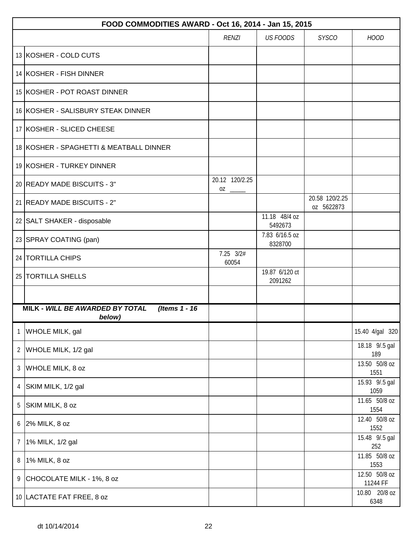|                | FOOD COMMODITIES AWARD - Oct 16, 2014 - Jan 15, 2015       |                      |                           |                              |                           |  |  |  |
|----------------|------------------------------------------------------------|----------------------|---------------------------|------------------------------|---------------------------|--|--|--|
|                |                                                            | <b>RENZI</b>         | <b>US FOODS</b>           | <b>SYSCO</b>                 | <b>HOOD</b>               |  |  |  |
|                | 13 KOSHER - COLD CUTS                                      |                      |                           |                              |                           |  |  |  |
|                | 14 KOSHER - FISH DINNER                                    |                      |                           |                              |                           |  |  |  |
|                | 15 KOSHER - POT ROAST DINNER                               |                      |                           |                              |                           |  |  |  |
|                | 16 KOSHER - SALISBURY STEAK DINNER                         |                      |                           |                              |                           |  |  |  |
|                | 17 KOSHER - SLICED CHEESE                                  |                      |                           |                              |                           |  |  |  |
|                | 18 KOSHER - SPAGHETTI & MEATBALL DINNER                    |                      |                           |                              |                           |  |  |  |
|                | 19 KOSHER - TURKEY DINNER                                  |                      |                           |                              |                           |  |  |  |
|                | 20 READY MADE BISCUITS - 3"                                | 20.12 120/2.25<br>0Z |                           |                              |                           |  |  |  |
|                | 21 READY MADE BISCUITS - 2"                                |                      |                           | 20.58 120/2.25<br>oz 5622873 |                           |  |  |  |
|                | 22 SALT SHAKER - disposable                                |                      | 11.18 48/4 oz<br>5492673  |                              |                           |  |  |  |
|                | 23 SPRAY COATING (pan)                                     |                      | 7.83 6/16.5 oz<br>8328700 |                              |                           |  |  |  |
|                | 24 TORTILLA CHIPS                                          | 7.25 3/2#<br>60054   |                           |                              |                           |  |  |  |
|                | 25   TORTILLA SHELLS                                       |                      | 19.87 6/120 ct<br>2091262 |                              |                           |  |  |  |
|                |                                                            |                      |                           |                              |                           |  |  |  |
|                | MILK - WILL BE AWARDED BY TOTAL<br>(Items 1 - 16<br>below) |                      |                           |                              |                           |  |  |  |
| 1              | WHOLE MILK, gal                                            |                      |                           |                              | 15.40 4/gal 320           |  |  |  |
|                | 2 WHOLE MILK, 1/2 gal                                      |                      |                           |                              | 18.18 9/.5 gal<br>189     |  |  |  |
| $\mathfrak{Z}$ | WHOLE MILK, 8 oz                                           |                      |                           |                              | 13.50 50/8 oz<br>1551     |  |  |  |
| 4              | SKIM MILK, 1/2 gal                                         |                      |                           |                              | 15.93 9/.5 gal<br>1059    |  |  |  |
| 5              | SKIM MILK, 8 oz                                            |                      |                           |                              | 11.65 50/8 oz<br>1554     |  |  |  |
|                | $6$ 2% MILK, 8 oz                                          |                      |                           |                              | 12.40 50/8 oz<br>1552     |  |  |  |
| $\overline{7}$ | 1% MILK, 1/2 gal                                           |                      |                           |                              | 15.48 9/.5 gal<br>252     |  |  |  |
| 8              | 1% MILK, 8 oz                                              |                      |                           |                              | 11.85 50/8 oz<br>1553     |  |  |  |
| 9              | CHOCOLATE MILK - 1%, 8 oz                                  |                      |                           |                              | 12.50 50/8 oz<br>11244 FF |  |  |  |
|                | 10 LACTATE FAT FREE, 8 oz                                  |                      |                           |                              | 10.80 20/8 oz<br>6348     |  |  |  |